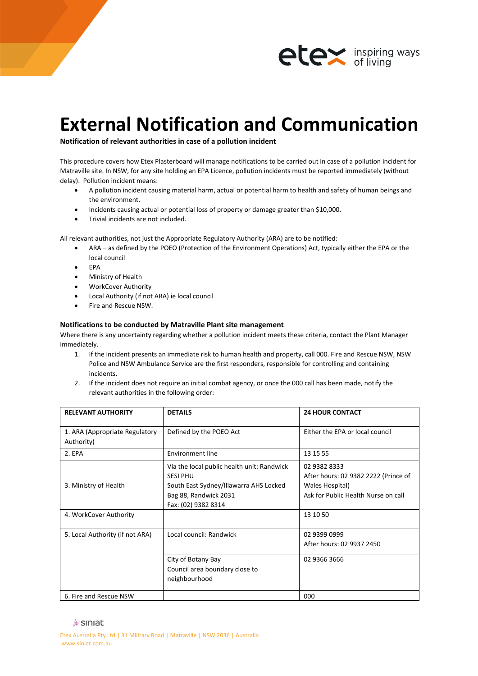

## **External Notification and Communication**

**Notification of relevant authorities in case of a pollution incident**

This procedure covers how Etex Plasterboard will manage notifications to be carried out in case of a pollution incident for Matraville site. In NSW, for any site holding an EPA Licence, pollution incidents must be reported immediately (without delay). Pollution incident means:

- A pollution incident causing material harm, actual or potential harm to health and safety of human beings and the environment.
- Incidents causing actual or potential loss of property or damage greater than \$10,000.
- Trivial incidents are not included.

All relevant authorities, not just the Appropriate Regulatory Authority (ARA) are to be notified:

- ARA as defined by the POEO (Protection of the Environment Operations) Act, typically either the EPA or the local council
- EPA
- Ministry of Health
- WorkCover Authority
- Local Authority (if not ARA) ie local council
- Fire and Rescue NSW.

## **Notifications to be conducted by Matraville Plant site management**

Where there is any uncertainty regarding whether a pollution incident meets these criteria, contact the Plant Manager immediately.

- 1. If the incident presents an immediate risk to human health and property, call 000. Fire and Rescue NSW, NSW Police and NSW Ambulance Service are the first responders, responsible for controlling and containing incidents.
- 2. If the incident does not require an initial combat agency, or once the 000 call has been made, notify the relevant authorities in the following order:

| <b>RELEVANT AUTHORITY</b>                    | <b>DETAILS</b>                                                                                                                                          | <b>24 HOUR CONTACT</b>                                                                                         |
|----------------------------------------------|---------------------------------------------------------------------------------------------------------------------------------------------------------|----------------------------------------------------------------------------------------------------------------|
| 1. ARA (Appropriate Regulatory<br>Authority) | Defined by the POEO Act                                                                                                                                 | Fither the FPA or local council                                                                                |
| 2. EPA                                       | Environment line                                                                                                                                        | 13 15 55                                                                                                       |
| 3. Ministry of Health                        | Via the local public health unit: Randwick<br><b>SESI PHU</b><br>South East Sydney/Illawarra AHS Locked<br>Bag 88, Randwick 2031<br>Fax: (02) 9382 8314 | 02 9382 8333<br>After hours: 02 9382 2222 (Prince of<br>Wales Hospital)<br>Ask for Public Health Nurse on call |
| 4. WorkCover Authority                       |                                                                                                                                                         | 13 10 50                                                                                                       |
| 5. Local Authority (if not ARA)              | Local council: Randwick                                                                                                                                 | 02 9399 0999<br>After hours: 02 9937 2450                                                                      |
|                                              | City of Botany Bay<br>Council area boundary close to<br>neighbourhood                                                                                   | 02 9366 3666                                                                                                   |
| 6. Fire and Rescue NSW                       |                                                                                                                                                         | 000                                                                                                            |